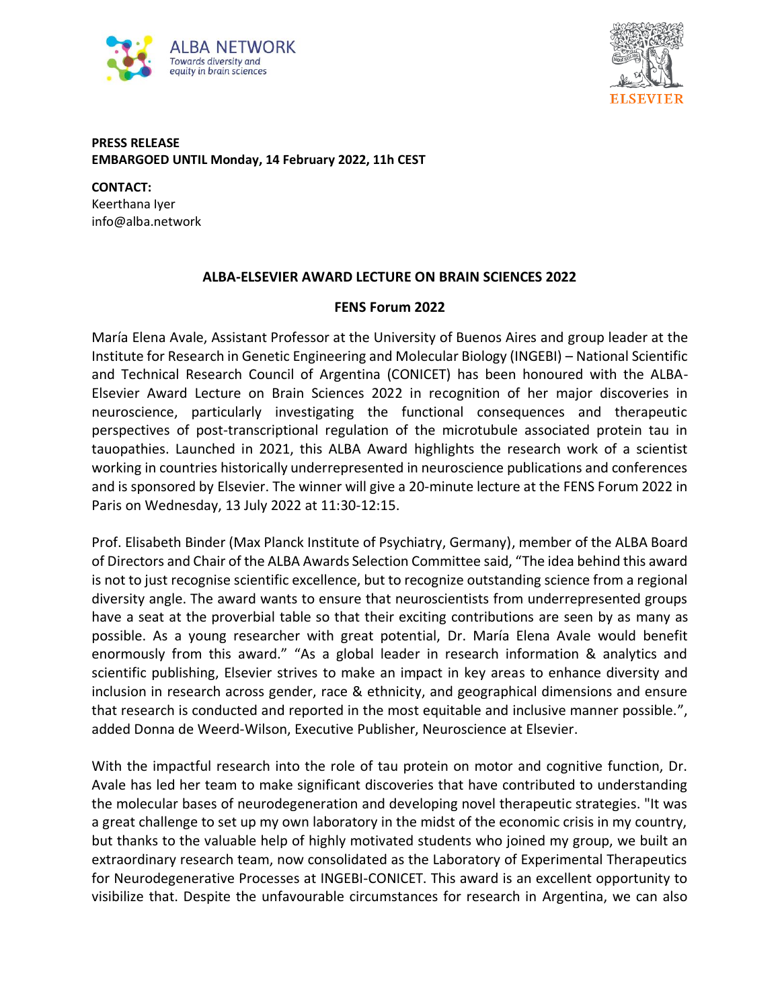



## **PRESS RELEASE EMBARGOED UNTIL Monday, 14 February 2022, 11h CEST**

**CONTACT:** Keerthana Iyer info@alba.network

## **ALBA-ELSEVIER AWARD LECTURE ON BRAIN SCIENCES 2022**

## **FENS Forum 2022**

María Elena Avale, Assistant Professor at the University of Buenos Aires and group leader at the Institute for Research in Genetic Engineering and Molecular Biology (INGEBI) – National Scientific and Technical Research Council of Argentina (CONICET) has been honoured with the ALBA-Elsevier Award Lecture on Brain Sciences 2022 in recognition of her major discoveries in neuroscience, particularly investigating the functional consequences and therapeutic perspectives of post-transcriptional regulation of the microtubule associated protein tau in tauopathies. Launched in 2021, this ALBA Award highlights the research work of a scientist working in countries historically underrepresented in neuroscience publications and conferences and is sponsored by Elsevier. The winner will give a 20-minute lecture at the FENS Forum 2022 in Paris on Wednesday, 13 July 2022 at 11:30-12:15.

Prof. Elisabeth Binder (Max Planck Institute of Psychiatry, Germany), member of the ALBA Board of Directors and Chair of the ALBA Awards Selection Committee said, "The idea behind this award is not to just recognise scientific excellence, but to recognize outstanding science from a regional diversity angle. The award wants to ensure that neuroscientists from underrepresented groups have a seat at the proverbial table so that their exciting contributions are seen by as many as possible. As a young researcher with great potential, Dr. María Elena Avale would benefit enormously from this award." "As a global leader in research information & analytics and scientific publishing, Elsevier strives to make an impact in key areas to enhance diversity and inclusion in research across gender, race & ethnicity, and geographical dimensions and ensure that research is conducted and reported in the most equitable and inclusive manner possible.", added Donna de Weerd-Wilson, Executive Publisher, Neuroscience at Elsevier.

With the impactful research into the role of tau protein on motor and cognitive function, Dr. Avale has led her team to make significant discoveries that have contributed to understanding the molecular bases of neurodegeneration and developing novel therapeutic strategies. "It was a great challenge to set up my own laboratory in the midst of the economic crisis in my country, but thanks to the valuable help of highly motivated students who joined my group, we built an extraordinary research team, now consolidated as the Laboratory of Experimental Therapeutics for Neurodegenerative Processes at INGEBI-CONICET. This award is an excellent opportunity to visibilize that. Despite the unfavourable circumstances for research in Argentina, we can also